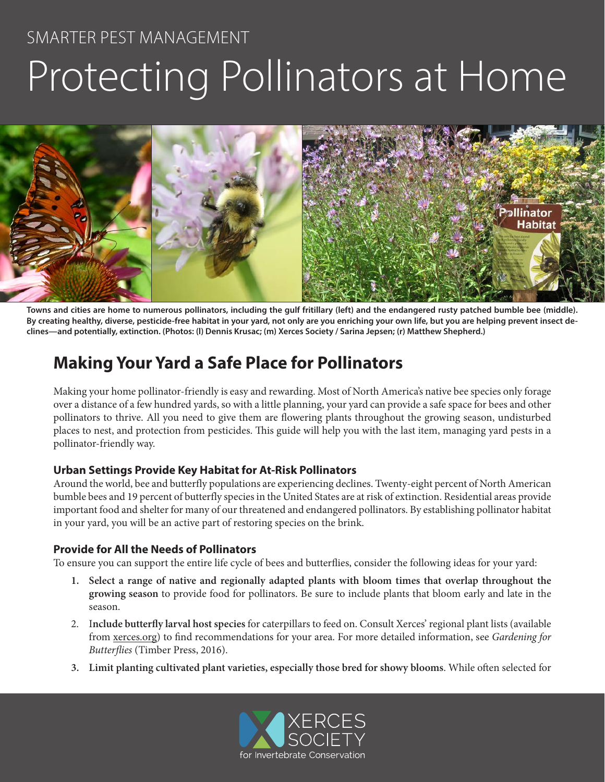# SMARTER PEST MANAGEMENT Protecting Pollinators at Home



**Towns and cities are home to numerous pollinators, including the gulf fritillary (left) and the endangered rusty patched bumble bee (middle). By creating healthy, diverse, pesticide-free habitat in your yard, not only are you enriching your own life, but you are helping prevent insect declines—and potentially, extinction. (Photos: (l) Dennis Krusac; (m) Xerces Society / Sarina Jepsen; (r) Matthew Shepherd.)** 

## **Making Your Yard a Safe Place for Pollinators**

Making your home pollinator-friendly is easy and rewarding. Most of North America's native bee species only forage over a distance of a few hundred yards, so with a little planning, your yard can provide a safe space for bees and other pollinators to thrive. All you need to give them are flowering plants throughout the growing season, undisturbed places to nest, and protection from pesticides. This guide will help you with the last item, managing yard pests in a pollinator-friendly way.

#### **Urban Settings Provide Key Habitat for At-Risk Pollinators**

Around the world, bee and butterfly populations are experiencing declines. Twenty-eight percent of North American bumble bees and 19 percent of butterfly species in the United States are at risk of extinction. Residential areas provide important food and shelter for many of our threatened and endangered pollinators. By establishing pollinator habitat in your yard, you will be an active part of restoring species on the brink.

#### **Provide for All the Needs of Pollinators**

To ensure you can support the entire life cycle of bees and butterflies, consider the following ideas for your yard:

- **1. Select a range of native and regionally adapted plants with bloom times that overlap throughout the growing season** to provide food for pollinators. Be sure to include plants that bloom early and late in the season.
- 2. I**nclude butterfly larval host species** for caterpillars to feed on. Consult Xerces' regional plant lists (available from xerces.org) to find recommendations for your area. For more detailed information, see *Gardening for Butterflies* (Timber Press, 2016).
- **3. Limit planting cultivated plant varieties, especially those bred for showy blooms**. While often selected for

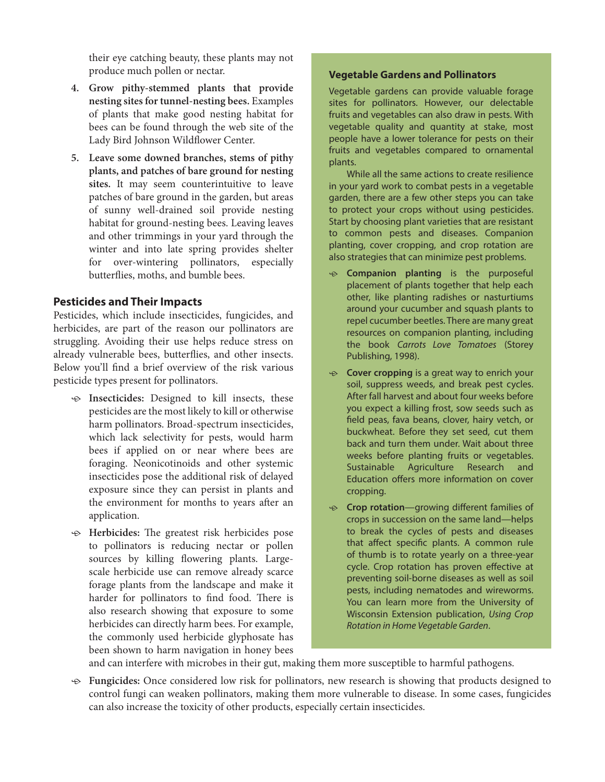their eye catching beauty, these plants may not produce much pollen or nectar.

- **4. Grow pithy-stemmed plants that provide nesting sites for tunnel-nesting bees.** Examples of plants that make good nesting habitat for bees can be found through the web site of the Lady Bird Johnson Wildflower Center.
- **5. Leave some downed branches, stems of pithy plants, and patches of bare ground for nesting sites.** It may seem counterintuitive to leave patches of bare ground in the garden, but areas of sunny well-drained soil provide nesting habitat for ground-nesting bees. Leaving leaves and other trimmings in your yard through the winter and into late spring provides shelter for over-wintering pollinators, especially butterflies, moths, and bumble bees.

#### **Pesticides and Their Impacts**

Pesticides, which include insecticides, fungicides, and herbicides, are part of the reason our pollinators are struggling. Avoiding their use helps reduce stress on already vulnerable bees, butterflies, and other insects. Below you'll find a brief overview of the risk various pesticide types present for pollinators.

- $\div$  **Insecticides:** Designed to kill insects, these pesticides are the most likely to kill or otherwise harm pollinators. Broad-spectrum insecticides, which lack selectivity for pests, would harm bees if applied on or near where bees are foraging. Neonicotinoids and other systemic insecticides pose the additional risk of delayed exposure since they can persist in plants and the environment for months to years after an application.
- $\Theta$  **Herbicides:** The greatest risk herbicides pose to pollinators is reducing nectar or pollen sources by killing flowering plants. Largescale herbicide use can remove already scarce forage plants from the landscape and make it harder for pollinators to find food. There is also research showing that exposure to some herbicides can directly harm bees. For example, the commonly used herbicide glyphosate has been shown to harm navigation in honey bees

#### **Vegetable Gardens and Pollinators**

Vegetable gardens can provide valuable forage sites for pollinators. However, our delectable fruits and vegetables can also draw in pests. With vegetable quality and quantity at stake, most people have a lower tolerance for pests on their fruits and vegetables compared to ornamental plants.

While all the same actions to create resilience in your yard work to combat pests in a vegetable garden, there are a few other steps you can take to protect your crops without using pesticides. Start by choosing plant varieties that are resistant to common pests and diseases. Companion planting, cover cropping, and crop rotation are also strategies that can minimize pest problems.

- $\div$  **Companion planting** is the purposeful placement of plants together that help each other, like planting radishes or nasturtiums around your cucumber and squash plants to repel cucumber beetles. There are many great resources on companion planting, including the book *Carrots Love Tomatoes* (Storey Publishing, 1998).
- ⊕ **Cover cropping** is a great way to enrich your soil, suppress weeds, and break pest cycles. After fall harvest and about four weeks before you expect a killing frost, sow seeds such as field peas, fava beans, clover, hairy vetch, or buckwheat. Before they set seed, cut them back and turn them under. Wait about three weeks before planting fruits or vegetables. Sustainable Agriculture Research and Education offers more information on cover cropping.
- **<b>Example 2** Crop rotation—growing different families of crops in succession on the same land—helps to break the cycles of pests and diseases that affect specific plants. A common rule of thumb is to rotate yearly on a three-year cycle. Crop rotation has proven effective at preventing soil-borne diseases as well as soil pests, including nematodes and wireworms. You can learn more from the University of Wisconsin Extension publication, *Using Crop Rotation in Home Vegetable Garden*.

and can interfere with microbes in their gut, making them more susceptible to harmful pathogens.

ӧ **Fungicides:** Once considered low risk for pollinators, new research is showing that products designed to control fungi can weaken pollinators, making them more vulnerable to disease. In some cases, fungicides can also increase the toxicity of other products, especially certain insecticides.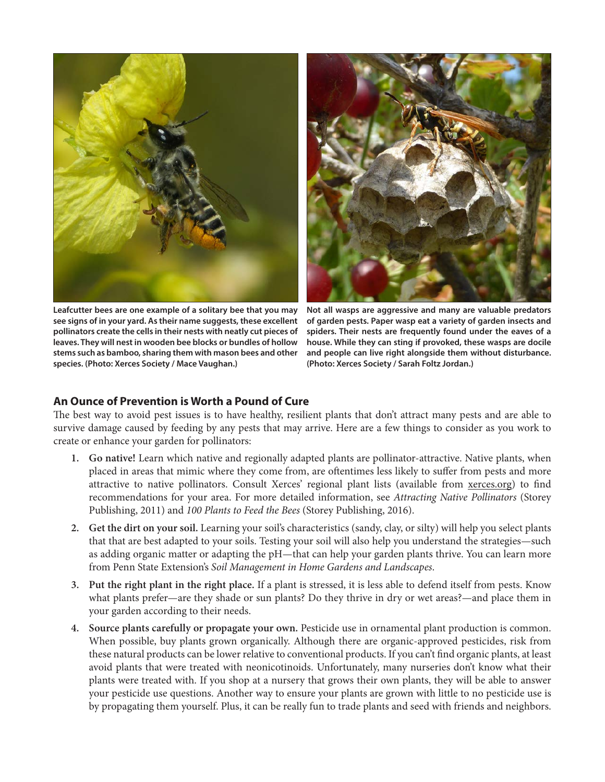

**Leafcutter bees are one example of a solitary bee that you may see signs of in your yard. As their name suggests, these excellent pollinators create the cells in their nests with neatly cut pieces of leaves. They will nest in wooden bee blocks or bundles of hollow stems such as bamboo, sharing them with mason bees and other species. (Photo: Xerces Society / Mace Vaughan.)** 

**Not all wasps are aggressive and many are valuable predators of garden pests. Paper wasp eat a variety of garden insects and spiders. Their nests are frequently found under the eaves of a house. While they can sting if provoked, these wasps are docile and people can live right alongside them without disturbance. (Photo: Xerces Society / Sarah Foltz Jordan.)** 

#### **An Ounce of Prevention is Worth a Pound of Cure**

The best way to avoid pest issues is to have healthy, resilient plants that don't attract many pests and are able to survive damage caused by feeding by any pests that may arrive. Here are a few things to consider as you work to create or enhance your garden for pollinators:

- **1. Go native!** Learn which native and regionally adapted plants are pollinator-attractive. Native plants, when placed in areas that mimic where they come from, are oftentimes less likely to suffer from pests and more attractive to native pollinators. Consult Xerces' regional plant lists (available from xerces.org) to find recommendations for your area. For more detailed information, see *Attracting Native Pollinators* (Storey Publishing, 2011) and *100 Plants to Feed the Bees* (Storey Publishing, 2016).
- **2. Get the dirt on your soil.** Learning your soil's characteristics (sandy, clay, or silty) will help you select plants that that are best adapted to your soils. Testing your soil will also help you understand the strategies—such as adding organic matter or adapting the pH—that can help your garden plants thrive. You can learn more from Penn State Extension's *Soil Management in Home Gardens and Landscapes*.
- **3. Put the right plant in the right place.** If a plant is stressed, it is less able to defend itself from pests. Know what plants prefer—are they shade or sun plants? Do they thrive in dry or wet areas?—and place them in your garden according to their needs.
- **4. Source plants carefully or propagate your own.** Pesticide use in ornamental plant production is common. When possible, buy plants grown organically. Although there are organic-approved pesticides, risk from these natural products can be lower relative to conventional products. If you can't find organic plants, at least avoid plants that were treated with neonicotinoids. Unfortunately, many nurseries don't know what their plants were treated with. If you shop at a nursery that grows their own plants, they will be able to answer your pesticide use questions. Another way to ensure your plants are grown with little to no pesticide use is by propagating them yourself. Plus, it can be really fun to trade plants and seed with friends and neighbors.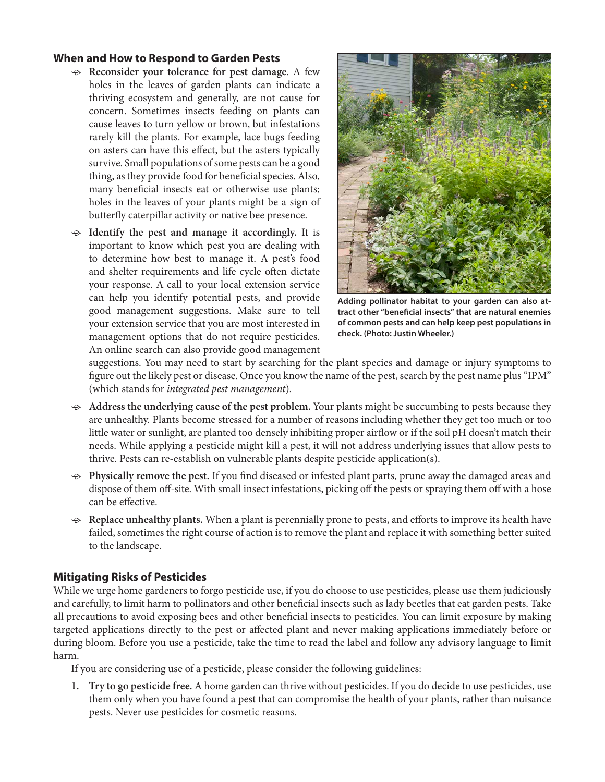#### **When and How to Respond to Garden Pests**

- $\leftrightarrow$  Reconsider your tolerance for pest damage. A few holes in the leaves of garden plants can indicate a thriving ecosystem and generally, are not cause for concern. Sometimes insects feeding on plants can cause leaves to turn yellow or brown, but infestations rarely kill the plants. For example, lace bugs feeding on asters can have this effect, but the asters typically survive. Small populations of some pests can be a good thing, as they provide food for beneficial species. Also, many beneficial insects eat or otherwise use plants; holes in the leaves of your plants might be a sign of butterfly caterpillar activity or native bee presence.
- $\Theta$  **Identify the pest and manage it accordingly.** It is important to know which pest you are dealing with to determine how best to manage it. A pest's food and shelter requirements and life cycle often dictate your response. A call to your local extension service can help you identify potential pests, and provide good management suggestions. Make sure to tell your extension service that you are most interested in management options that do not require pesticides. An online search can also provide good management



**Adding pollinator habitat to your garden can also attract other "beneficial insects" that are natural enemies of common pests and can help keep pest populations in check. (Photo: Justin Wheeler.)** 

suggestions. You may need to start by searching for the plant species and damage or injury symptoms to figure out the likely pest or disease. Once you know the name of the pest, search by the pest name plus "IPM" (which stands for *integrated pest management*).

- ӧ **Address the underlying cause of the pest problem.** Your plants might be succumbing to pests because they are unhealthy. Plants become stressed for a number of reasons including whether they get too much or too little water or sunlight, are planted too densely inhibiting proper airflow or if the soil pH doesn't match their needs. While applying a pesticide might kill a pest, it will not address underlying issues that allow pests to thrive. Pests can re-establish on vulnerable plants despite pesticide application(s).
- $\leftrightarrow$  **Physically remove the pest.** If you find diseased or infested plant parts, prune away the damaged areas and dispose of them off-site. With small insect infestations, picking off the pests or spraying them off with a hose can be effective.
- $\triangle$  **Replace unhealthy plants.** When a plant is perennially prone to pests, and efforts to improve its health have failed, sometimes the right course of action is to remove the plant and replace it with something better suited to the landscape.

#### **Mitigating Risks of Pesticides**

While we urge home gardeners to forgo pesticide use, if you do choose to use pesticides, please use them judiciously and carefully, to limit harm to pollinators and other beneficial insects such as lady beetles that eat garden pests. Take all precautions to avoid exposing bees and other beneficial insects to pesticides. You can limit exposure by making targeted applications directly to the pest or affected plant and never making applications immediately before or during bloom. Before you use a pesticide, take the time to read the label and follow any advisory language to limit harm.

If you are considering use of a pesticide, please consider the following guidelines:

**1. Try to go pesticide free.** A home garden can thrive without pesticides. If you do decide to use pesticides, use them only when you have found a pest that can compromise the health of your plants, rather than nuisance pests. Never use pesticides for cosmetic reasons.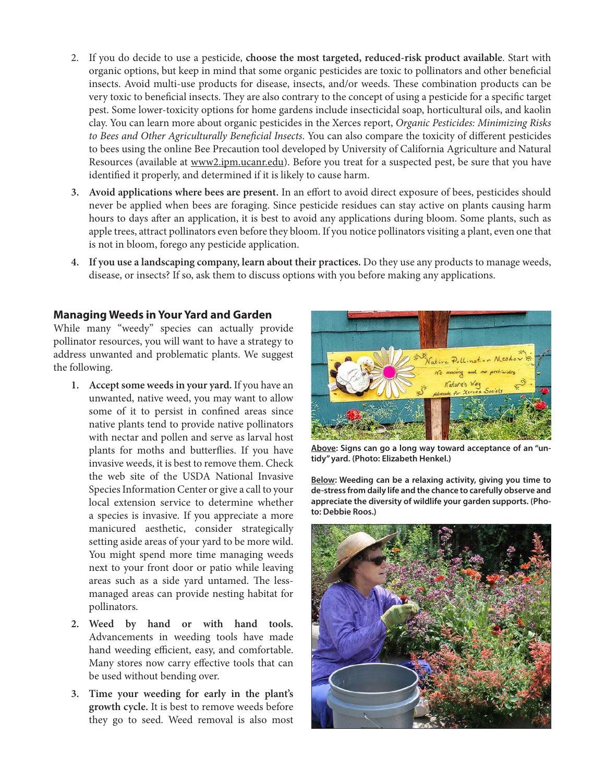- 2. If you do decide to use a pesticide, **choose the most targeted, reduced-risk product available**. Start with organic options, but keep in mind that some organic pesticides are toxic to pollinators and other beneficial insects. Avoid multi-use products for disease, insects, and/or weeds. These combination products can be very toxic to beneficial insects. They are also contrary to the concept of using a pesticide for a specific target pest. Some lower-toxicity options for home gardens include insecticidal soap, horticultural oils, and kaolin clay. You can learn more about organic pesticides in the Xerces report, *Organic Pesticides: Minimizing Risks to Bees and Other Agriculturally Beneficial Insects*. You can also compare the toxicity of different pesticides to bees using the online Bee Precaution tool developed by University of California Agriculture and Natural Resources (available at www2.ipm.ucanr.edu). Before you treat for a suspected pest, be sure that you have identified it properly, and determined if it is likely to cause harm.
- **3. Avoid applications where bees are present.** In an effort to avoid direct exposure of bees, pesticides should never be applied when bees are foraging. Since pesticide residues can stay active on plants causing harm hours to days after an application, it is best to avoid any applications during bloom. Some plants, such as apple trees, attract pollinators even before they bloom. If you notice pollinators visiting a plant, even one that is not in bloom, forego any pesticide application.
- **4. If you use a landscaping company, learn about their practices.** Do they use any products to manage weeds, disease, or insects? If so, ask them to discuss options with you before making any applications.

#### **Managing Weeds in Your Yard and Garden**

While many "weedy" species can actually provide pollinator resources, you will want to have a strategy to address unwanted and problematic plants. We suggest the following.

- **1. Accept some weeds in your yard.** If you have an unwanted, native weed, you may want to allow some of it to persist in confined areas since native plants tend to provide native pollinators with nectar and pollen and serve as larval host plants for moths and butterflies. If you have invasive weeds, it is best to remove them. Check the web site of the USDA National Invasive Species Information Center or give a call to your local extension service to determine whether a species is invasive. If you appreciate a more manicured aesthetic, consider strategically setting aside areas of your yard to be more wild. You might spend more time managing weeds next to your front door or patio while leaving areas such as a side yard untamed. The lessmanaged areas can provide nesting habitat for pollinators.
- **2. Weed by hand or with hand tools.** Advancements in weeding tools have made hand weeding efficient, easy, and comfortable. Many stores now carry effective tools that can be used without bending over.
- **3. Time your weeding for early in the plant's growth cycle.** It is best to remove weeds before they go to seed. Weed removal is also most



**Above: Signs can go a long way toward acceptance of an "untidy" yard. (Photo: Elizabeth Henkel.)**

**Below: Weeding can be a relaxing activity, giving you time to de-stress from daily life and the chance to carefully observe and appreciate the diversity of wildlife your garden supports. (Photo: Debbie Roos.)** 

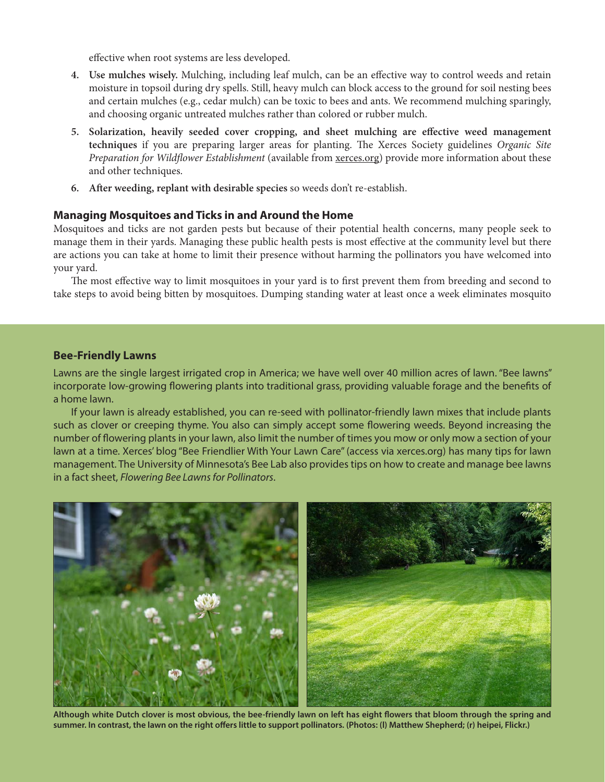effective when root systems are less developed.

- **4. Use mulches wisely.** Mulching, including leaf mulch, can be an effective way to control weeds and retain moisture in topsoil during dry spells. Still, heavy mulch can block access to the ground for soil nesting bees and certain mulches (e.g., cedar mulch) can be toxic to bees and ants. We recommend mulching sparingly, and choosing organic untreated mulches rather than colored or rubber mulch.
- **5. Solarization, heavily seeded cover cropping, and sheet mulching are effective weed management techniques** if you are preparing larger areas for planting. The Xerces Society guidelines *Organic Site Preparation for Wildflower Establishment* (available from xerces.org) provide more information about these and other techniques.
- **6. After weeding, replant with desirable species** so weeds don't re-establish.

#### **Managing Mosquitoes and Ticks in and Around the Home**

Mosquitoes and ticks are not garden pests but because of their potential health concerns, many people seek to manage them in their yards. Managing these public health pests is most effective at the community level but there are actions you can take at home to limit their presence without harming the pollinators you have welcomed into your yard.

The most effective way to limit mosquitoes in your yard is to first prevent them from breeding and second to take steps to avoid being bitten by mosquitoes. Dumping standing water at least once a week eliminates mosquito

#### **Bee-Friendly Lawns**

Lawns are the single largest irrigated crop in America; we have well over 40 million acres of lawn. "Bee lawns" incorporate low-growing flowering plants into traditional grass, providing valuable forage and the benefits of a home lawn.

If your lawn is already established, you can re-seed with pollinator-friendly lawn mixes that include plants such as clover or creeping thyme. You also can simply accept some flowering weeds. Beyond increasing the number of flowering plants in your lawn, also limit the number of times you mow or only mow a section of your lawn at a time. Xerces' blog "Bee Friendlier With Your Lawn Care" (access via xerces.org) has many tips for lawn management. The University of Minnesota's Bee Lab also provides tips on how to create and manage bee lawns in a fact sheet, *Flowering Bee Lawns for Pollinators*.



**Although white Dutch clover is most obvious, the bee-friendly lawn on left has eight flowers that bloom through the spring and summer. In contrast, the lawn on the right offers little to support pollinators. (Photos: (l) Matthew Shepherd; (r) heipei, Flickr.)**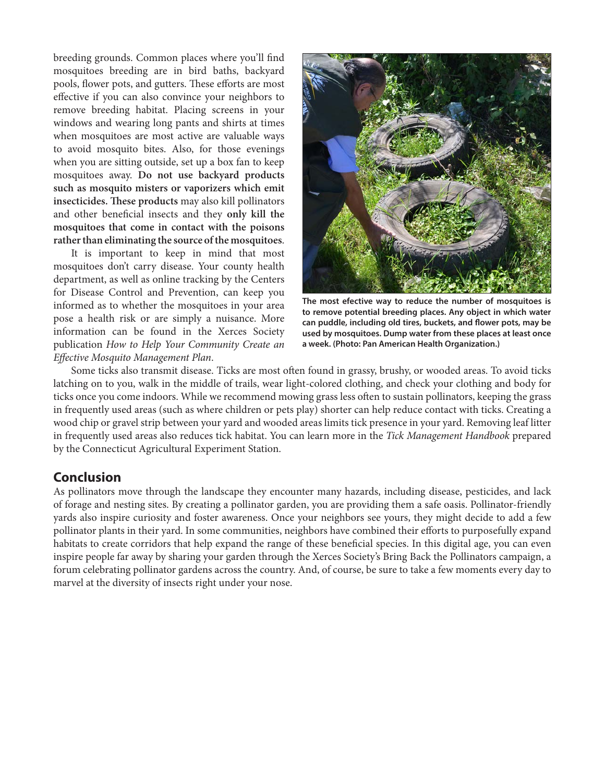breeding grounds. Common places where you'll find mosquitoes breeding are in bird baths, backyard pools, flower pots, and gutters. These efforts are most effective if you can also convince your neighbors to remove breeding habitat. Placing screens in your windows and wearing long pants and shirts at times when mosquitoes are most active are valuable ways to avoid mosquito bites. Also, for those evenings when you are sitting outside, set up a box fan to keep mosquitoes away. **Do not use backyard products such as mosquito misters or vaporizers which emit insecticides. These products** may also kill pollinators and other beneficial insects and they **only kill the mosquitoes that come in contact with the poisons rather than eliminating the source of the mosquitoes**.

It is important to keep in mind that most mosquitoes don't carry disease. Your county health department, as well as online tracking by the Centers for Disease Control and Prevention, can keep you informed as to whether the mosquitoes in your area pose a health risk or are simply a nuisance. More information can be found in the Xerces Society publication *How to Help Your Community Create an Effective Mosquito Management Plan*.



**The most efective way to reduce the number of mosquitoes is to remove potential breeding places. Any object in which water can puddle, including old tires, buckets, and flower pots, may be used by mosquitoes. Dump water from these places at least once a week. (Photo: Pan American Health Organization.)** 

Some ticks also transmit disease. Ticks are most often found in grassy, brushy, or wooded areas. To avoid ticks latching on to you, walk in the middle of trails, wear light-colored clothing, and check your clothing and body for ticks once you come indoors. While we recommend mowing grass less often to sustain pollinators, keeping the grass in frequently used areas (such as where children or pets play) shorter can help reduce contact with ticks. Creating a wood chip or gravel strip between your yard and wooded areas limits tick presence in your yard. Removing leaf litter in frequently used areas also reduces tick habitat. You can learn more in the *Tick Management Handbook* prepared by the Connecticut Agricultural Experiment Station.

#### **Conclusion**

As pollinators move through the landscape they encounter many hazards, including disease, pesticides, and lack of forage and nesting sites. By creating a pollinator garden, you are providing them a safe oasis. Pollinator-friendly yards also inspire curiosity and foster awareness. Once your neighbors see yours, they might decide to add a few pollinator plants in their yard. In some communities, neighbors have combined their efforts to purposefully expand habitats to create corridors that help expand the range of these beneficial species. In this digital age, you can even inspire people far away by sharing your garden through the Xerces Society's Bring Back the Pollinators campaign, a forum celebrating pollinator gardens across the country. And, of course, be sure to take a few moments every day to marvel at the diversity of insects right under your nose.